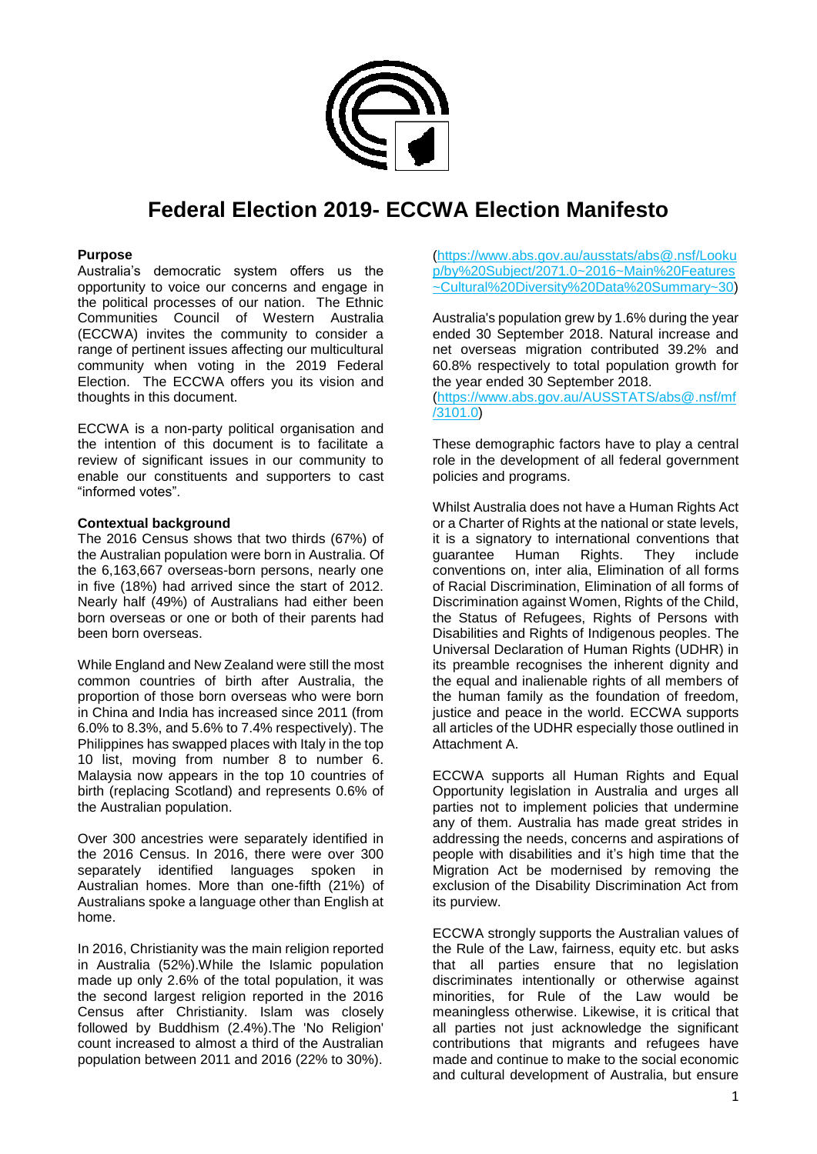

# **Federal Election 2019- ECCWA Election Manifesto**

#### **Purpose**

Australia's democratic system offers us the opportunity to voice our concerns and engage in the political processes of our nation. The Ethnic Communities Council of Western Australia (ECCWA) invites the community to consider a range of pertinent issues affecting our multicultural community when voting in the 2019 Federal Election. The ECCWA offers you its vision and thoughts in this document.

ECCWA is a non-party political organisation and the intention of this document is to facilitate a review of significant issues in our community to enable our constituents and supporters to cast "informed votes".

#### **Contextual background**

The 2016 Census shows that two thirds (67%) of the Australian population were born in Australia. Of the 6,163,667 overseas-born persons, nearly one in five (18%) had arrived since the start of 2012. Nearly half (49%) of Australians had either been born overseas or one or both of their parents had been born overseas.

While England and New Zealand were still the most common countries of birth after Australia, the proportion of those born overseas who were born in China and India has increased since 2011 (from 6.0% to 8.3%, and 5.6% to 7.4% respectively). The Philippines has swapped places with Italy in the top 10 list, moving from number 8 to number 6. Malaysia now appears in the top 10 countries of birth (replacing Scotland) and represents 0.6% of the Australian population.

Over 300 ancestries were separately identified in the 2016 Census. In 2016, there were over 300 separately identified languages spoken in Australian homes. More than one-fifth (21%) of Australians spoke a language other than English at home.

In 2016, Christianity was the main religion reported in Australia (52%).While the Islamic population made up only 2.6% of the total population, it was the second largest religion reported in the 2016 Census after Christianity. Islam was closely followed by Buddhism (2.4%).The 'No Religion' count increased to almost a third of the Australian population between 2011 and 2016 (22% to 30%).

[\(https://www.abs.gov.au/ausstats/abs@.nsf/Looku](https://www.abs.gov.au/ausstats/abs@.nsf/Lookup/by%20Subject/2071.0~2016~Main%20Features~Cultural%20Diversity%20Data%20Summary~30) [p/by%20Subject/2071.0~2016~Main%20Features](https://www.abs.gov.au/ausstats/abs@.nsf/Lookup/by%20Subject/2071.0~2016~Main%20Features~Cultural%20Diversity%20Data%20Summary~30) [~Cultural%20Diversity%20Data%20Summary~30\)](https://www.abs.gov.au/ausstats/abs@.nsf/Lookup/by%20Subject/2071.0~2016~Main%20Features~Cultural%20Diversity%20Data%20Summary~30)

Australia's population grew by 1.6% during the year ended 30 September 2018. Natural increase and net overseas migration contributed 39.2% and 60.8% respectively to total population growth for the year ended 30 September 2018.

[\(https://www.abs.gov.au/AUSSTATS/abs@.nsf/mf](https://www.abs.gov.au/AUSSTATS/abs@.nsf/mf/3101.0) [/3101.0\)](https://www.abs.gov.au/AUSSTATS/abs@.nsf/mf/3101.0)

These demographic factors have to play a central role in the development of all federal government policies and programs.

Whilst Australia does not have a Human Rights Act or a Charter of Rights at the national or state levels, it is a signatory to international conventions that guarantee Human Rights. They include conventions on, inter alia, Elimination of all forms of Racial Discrimination, Elimination of all forms of Discrimination against Women, Rights of the Child, the Status of Refugees, Rights of Persons with Disabilities and Rights of Indigenous peoples. The Universal Declaration of Human Rights (UDHR) in its preamble recognises the inherent dignity and the equal and inalienable rights of all members of the human family as the foundation of freedom, justice and peace in the world. ECCWA supports all articles of the UDHR especially those outlined in Attachment A.

ECCWA supports all Human Rights and Equal Opportunity legislation in Australia and urges all parties not to implement policies that undermine any of them. Australia has made great strides in addressing the needs, concerns and aspirations of people with disabilities and it's high time that the Migration Act be modernised by removing the exclusion of the Disability Discrimination Act from its purview.

ECCWA strongly supports the Australian values of the Rule of the Law, fairness, equity etc. but asks that all parties ensure that no legislation discriminates intentionally or otherwise against minorities, for Rule of the Law would be meaningless otherwise. Likewise, it is critical that all parties not just acknowledge the significant contributions that migrants and refugees have made and continue to make to the social economic and cultural development of Australia, but ensure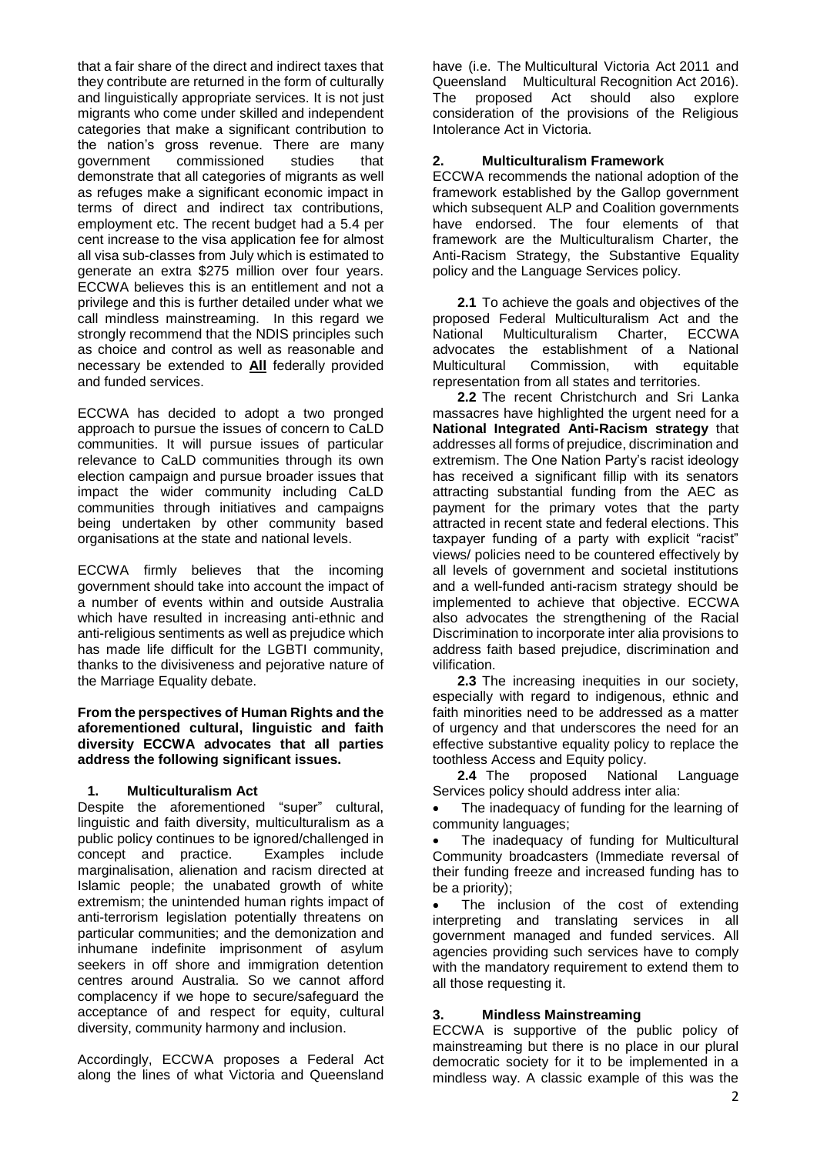that a fair share of the direct and indirect taxes that they contribute are returned in the form of culturally and linguistically appropriate services. It is not just migrants who come under skilled and independent categories that make a significant contribution to the nation's gross revenue. There are many government commissioned studies that demonstrate that all categories of migrants as well as refuges make a significant economic impact in terms of direct and indirect tax contributions, employment etc. The recent budget had a 5.4 per cent increase to the visa application fee for almost all visa sub-classes from July which is estimated to generate an extra \$275 million over four years. ECCWA believes this is an entitlement and not a privilege and this is further detailed under what we call mindless mainstreaming. In this regard we strongly recommend that the NDIS principles such as choice and control as well as reasonable and necessary be extended to **All** federally provided and funded services.

ECCWA has decided to adopt a two pronged approach to pursue the issues of concern to CaLD communities. It will pursue issues of particular relevance to CaLD communities through its own election campaign and pursue broader issues that impact the wider community including CaLD communities through initiatives and campaigns being undertaken by other community based organisations at the state and national levels.

ECCWA firmly believes that the incoming government should take into account the impact of a number of events within and outside Australia which have resulted in increasing anti-ethnic and anti-religious sentiments as well as prejudice which has made life difficult for the LGBTI community, thanks to the divisiveness and pejorative nature of the Marriage Equality debate.

**From the perspectives of Human Rights and the aforementioned cultural, linguistic and faith diversity ECCWA advocates that all parties address the following significant issues.**

## **1. Multiculturalism Act**

Despite the aforementioned "super" cultural, linguistic and faith diversity, multiculturalism as a public policy continues to be ignored/challenged in<br>concept and practice. Examples include concept and practice. marginalisation, alienation and racism directed at Islamic people; the unabated growth of white extremism; the unintended human rights impact of anti-terrorism legislation potentially threatens on particular communities; and the demonization and inhumane indefinite imprisonment of asylum seekers in off shore and immigration detention centres around Australia. So we cannot afford complacency if we hope to secure/safeguard the acceptance of and respect for equity, cultural diversity, community harmony and inclusion.

Accordingly, ECCWA proposes a Federal Act along the lines of what Victoria and Queensland have (i.e. The Multicultural Victoria Act 2011 and Queensland Multicultural Recognition Act 2016). The proposed Act should also explore consideration of the provisions of the Religious Intolerance Act in Victoria.

## **2. Multiculturalism Framework**

ECCWA recommends the national adoption of the framework established by the Gallop government which subsequent ALP and Coalition governments have endorsed. The four elements of that framework are the Multiculturalism Charter, the Anti-Racism Strategy, the Substantive Equality policy and the Language Services policy.

**2.1** To achieve the goals and objectives of the proposed Federal Multiculturalism Act and the National Multiculturalism Charter, ECCWA advocates the establishment of a National Multicultural Commission, with equitable representation from all states and territories.

**2.2** The recent Christchurch and Sri Lanka massacres have highlighted the urgent need for a **National Integrated Anti-Racism strategy** that addresses all forms of prejudice, discrimination and extremism. The One Nation Party's racist ideology has received a significant fillip with its senators attracting substantial funding from the AEC as payment for the primary votes that the party attracted in recent state and federal elections. This taxpayer funding of a party with explicit "racist" views/ policies need to be countered effectively by all levels of government and societal institutions and a well-funded anti-racism strategy should be implemented to achieve that objective. ECCWA also advocates the strengthening of the Racial Discrimination to incorporate inter alia provisions to address faith based prejudice, discrimination and vilification.

**2.3** The increasing inequities in our society, especially with regard to indigenous, ethnic and faith minorities need to be addressed as a matter of urgency and that underscores the need for an effective substantive equality policy to replace the toothless Access and Equity policy.

**2.4** The proposed National Language Services policy should address inter alia:

 The inadequacy of funding for the learning of community languages;

 The inadequacy of funding for Multicultural Community broadcasters (Immediate reversal of their funding freeze and increased funding has to be a priority);

 The inclusion of the cost of extending interpreting and translating services in all government managed and funded services. All agencies providing such services have to comply with the mandatory requirement to extend them to all those requesting it.

## **3. Mindless Mainstreaming**

ECCWA is supportive of the public policy of mainstreaming but there is no place in our plural democratic society for it to be implemented in a mindless way. A classic example of this was the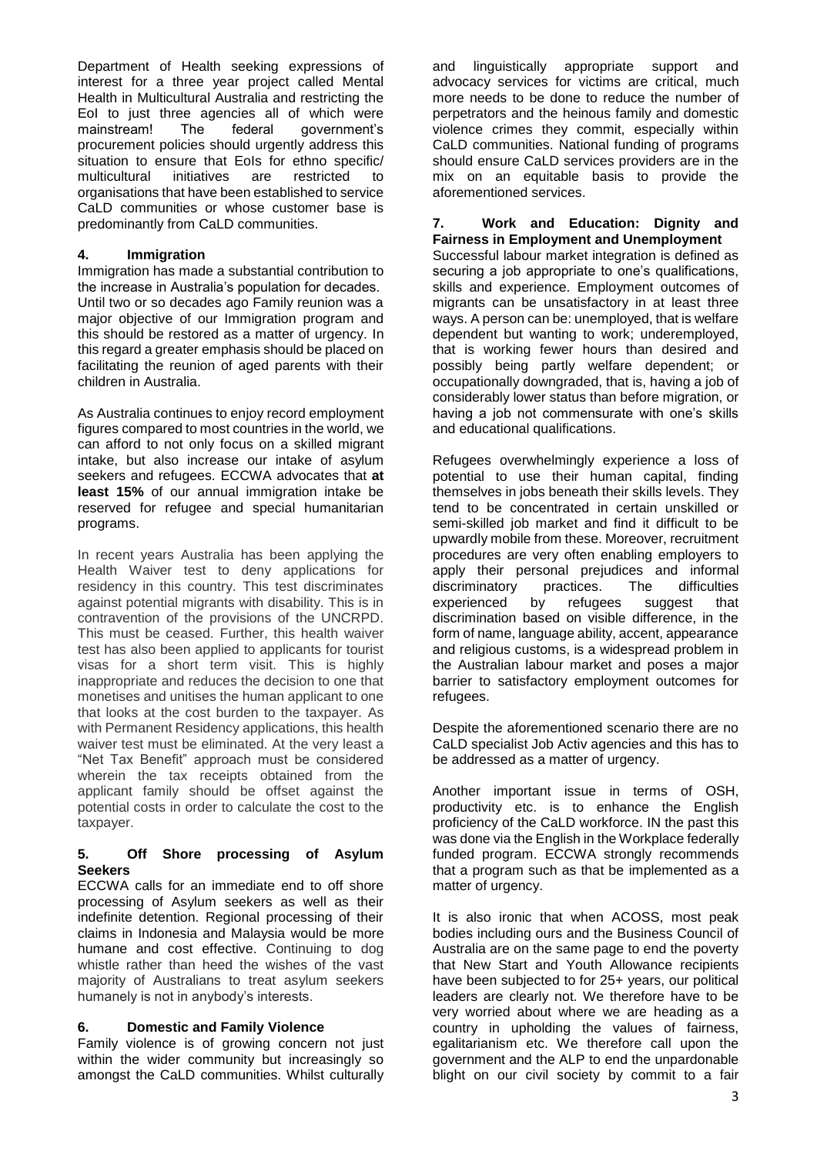Department of Health seeking expressions of interest for a three year project called Mental Health in Multicultural Australia and restricting the EoI to just three agencies all of which were mainstream! The federal government's procurement policies should urgently address this situation to ensure that EoIs for ethno specific/ multicultural initiatives are restricted to organisations that have been established to service CaLD communities or whose customer base is predominantly from CaLD communities.

## **4. Immigration**

Immigration has made a substantial contribution to the increase in Australia's population for decades. Until two or so decades ago Family reunion was a major objective of our Immigration program and this should be restored as a matter of urgency. In this regard a greater emphasis should be placed on facilitating the reunion of aged parents with their children in Australia.

As Australia continues to enjoy record employment figures compared to most countries in the world, we can afford to not only focus on a skilled migrant intake, but also increase our intake of asylum seekers and refugees. ECCWA advocates that **at least 15%** of our annual immigration intake be reserved for refugee and special humanitarian programs.

In recent years Australia has been applying the Health Waiver test to deny applications for residency in this country. This test discriminates against potential migrants with disability. This is in contravention of the provisions of the UNCRPD. This must be ceased. Further, this health waiver test has also been applied to applicants for tourist visas for a short term visit. This is highly inappropriate and reduces the decision to one that monetises and unitises the human applicant to one that looks at the cost burden to the taxpayer. As with Permanent Residency applications, this health waiver test must be eliminated. At the very least a "Net Tax Benefit" approach must be considered wherein the tax receipts obtained from the applicant family should be offset against the potential costs in order to calculate the cost to the taxpayer.

## **5. Off Shore processing of Asylum Seekers**

ECCWA calls for an immediate end to off shore processing of Asylum seekers as well as their indefinite detention. Regional processing of their claims in Indonesia and Malaysia would be more humane and cost effective. Continuing to dog whistle rather than heed the wishes of the vast majority of Australians to treat asylum seekers humanely is not in anybody's interests.

# **6. Domestic and Family Violence**

Family violence is of growing concern not just within the wider community but increasingly so amongst the CaLD communities. Whilst culturally

and linguistically appropriate support and advocacy services for victims are critical, much more needs to be done to reduce the number of perpetrators and the heinous family and domestic violence crimes they commit, especially within CaLD communities. National funding of programs should ensure CaLD services providers are in the mix on an equitable basis to provide the aforementioned services.

## **7. Work and Education: Dignity and Fairness in Employment and Unemployment**

Successful labour market integration is defined as securing a job appropriate to one's qualifications, skills and experience. Employment outcomes of migrants can be unsatisfactory in at least three ways. A person can be: unemployed, that is welfare dependent but wanting to work; underemployed, that is working fewer hours than desired and possibly being partly welfare dependent; or occupationally downgraded, that is, having a job of considerably lower status than before migration, or having a job not commensurate with one's skills and educational qualifications.

Refugees overwhelmingly experience a loss of potential to use their human capital, finding themselves in jobs beneath their skills levels. They tend to be concentrated in certain unskilled or semi-skilled job market and find it difficult to be upwardly mobile from these. Moreover, recruitment procedures are very often enabling employers to apply their personal prejudices and informal<br>discriminatory practices. The difficulties discriminatory practices. The difficulties experienced by refugees suggest that discrimination based on visible difference, in the form of name, language ability, accent, appearance and religious customs, is a widespread problem in the Australian labour market and poses a major barrier to satisfactory employment outcomes for refugees.

Despite the aforementioned scenario there are no CaLD specialist Job Activ agencies and this has to be addressed as a matter of urgency.

Another important issue in terms of OSH, productivity etc. is to enhance the English proficiency of the CaLD workforce. IN the past this was done via the English in the Workplace federally funded program. ECCWA strongly recommends that a program such as that be implemented as a matter of urgency.

It is also ironic that when ACOSS, most peak bodies including ours and the Business Council of Australia are on the same page to end the poverty that New Start and Youth Allowance recipients have been subjected to for 25+ years, our political leaders are clearly not. We therefore have to be very worried about where we are heading as a country in upholding the values of fairness, egalitarianism etc. We therefore call upon the government and the ALP to end the unpardonable blight on our civil society by commit to a fair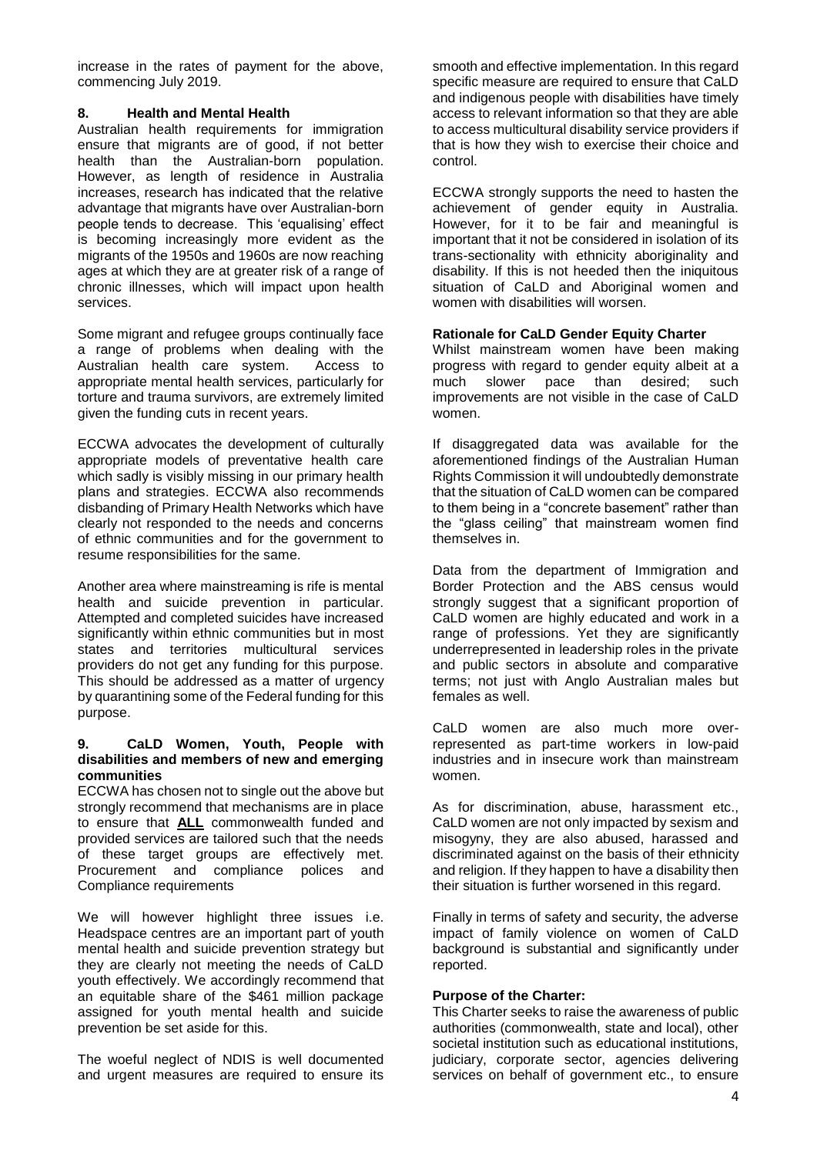increase in the rates of payment for the above, commencing July 2019.

## **8. Health and Mental Health**

Australian health requirements for immigration ensure that migrants are of good, if not better health than the Australian-born population. However, as length of residence in Australia increases, research has indicated that the relative advantage that migrants have over Australian-born people tends to decrease. This 'equalising' effect is becoming increasingly more evident as the migrants of the 1950s and 1960s are now reaching ages at which they are at greater risk of a range of chronic illnesses, which will impact upon health services.

Some migrant and refugee groups continually face a range of problems when dealing with the Australian health care system. Access to appropriate mental health services, particularly for torture and trauma survivors, are extremely limited given the funding cuts in recent years.

ECCWA advocates the development of culturally appropriate models of preventative health care which sadly is visibly missing in our primary health plans and strategies. ECCWA also recommends disbanding of Primary Health Networks which have clearly not responded to the needs and concerns of ethnic communities and for the government to resume responsibilities for the same.

Another area where mainstreaming is rife is mental health and suicide prevention in particular. Attempted and completed suicides have increased significantly within ethnic communities but in most states and territories multicultural services providers do not get any funding for this purpose. This should be addressed as a matter of urgency by quarantining some of the Federal funding for this purpose.

#### **9. CaLD Women, Youth, People with disabilities and members of new and emerging communities**

ECCWA has chosen not to single out the above but strongly recommend that mechanisms are in place to ensure that **ALL** commonwealth funded and provided services are tailored such that the needs of these target groups are effectively met. Procurement and compliance polices and Compliance requirements

We will however highlight three issues i.e. Headspace centres are an important part of youth mental health and suicide prevention strategy but they are clearly not meeting the needs of CaLD youth effectively. We accordingly recommend that an equitable share of the \$461 million package assigned for youth mental health and suicide prevention be set aside for this.

The woeful neglect of NDIS is well documented and urgent measures are required to ensure its

smooth and effective implementation. In this regard specific measure are required to ensure that CaLD and indigenous people with disabilities have timely access to relevant information so that they are able to access multicultural disability service providers if that is how they wish to exercise their choice and control.

ECCWA strongly supports the need to hasten the achievement of gender equity in Australia. However, for it to be fair and meaningful is important that it not be considered in isolation of its trans-sectionality with ethnicity aboriginality and disability. If this is not heeded then the iniquitous situation of CaLD and Aboriginal women and women with disabilities will worsen.

## **Rationale for CaLD Gender Equity Charter**

Whilst mainstream women have been making progress with regard to gender equity albeit at a<br>much slower pace than desired: such much slower pace than desired; such improvements are not visible in the case of CaLD women.

If disaggregated data was available for the aforementioned findings of the Australian Human Rights Commission it will undoubtedly demonstrate that the situation of CaLD women can be compared to them being in a "concrete basement" rather than the "glass ceiling" that mainstream women find themselves in.

Data from the department of Immigration and Border Protection and the ABS census would strongly suggest that a significant proportion of CaLD women are highly educated and work in a range of professions. Yet they are significantly underrepresented in leadership roles in the private and public sectors in absolute and comparative terms; not just with Anglo Australian males but females as well.

CaLD women are also much more overrepresented as part-time workers in low-paid industries and in insecure work than mainstream women.

As for discrimination, abuse, harassment etc., CaLD women are not only impacted by sexism and misogyny, they are also abused, harassed and discriminated against on the basis of their ethnicity and religion. If they happen to have a disability then their situation is further worsened in this regard.

Finally in terms of safety and security, the adverse impact of family violence on women of CaLD background is substantial and significantly under reported.

## **Purpose of the Charter:**

This Charter seeks to raise the awareness of public authorities (commonwealth, state and local), other societal institution such as educational institutions, judiciary, corporate sector, agencies delivering services on behalf of government etc., to ensure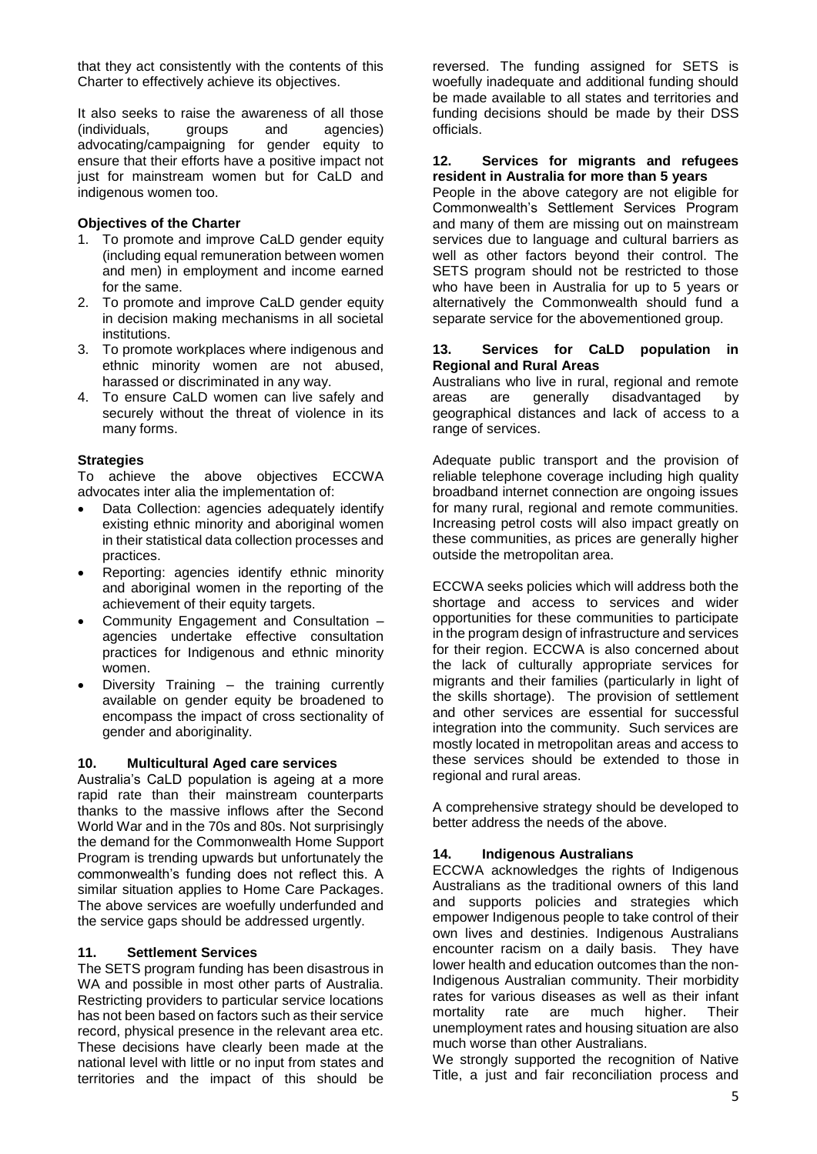that they act consistently with the contents of this Charter to effectively achieve its objectives.

It also seeks to raise the awareness of all those (individuals, groups and agencies) advocating/campaigning for gender equity to ensure that their efforts have a positive impact not just for mainstream women but for CaLD and indigenous women too.

## **Objectives of the Charter**

- 1. To promote and improve CaLD gender equity (including equal remuneration between women and men) in employment and income earned for the same.
- 2. To promote and improve CaLD gender equity in decision making mechanisms in all societal institutions.
- 3. To promote workplaces where indigenous and ethnic minority women are not abused, harassed or discriminated in any way.
- 4. To ensure CaLD women can live safely and securely without the threat of violence in its many forms.

## **Strategies**

To achieve the above objectives ECCWA advocates inter alia the implementation of:

- Data Collection: agencies adequately identify existing ethnic minority and aboriginal women in their statistical data collection processes and practices.
- Reporting: agencies identify ethnic minority and aboriginal women in the reporting of the achievement of their equity targets.
- Community Engagement and Consultation agencies undertake effective consultation practices for Indigenous and ethnic minority women.
- Diversity Training the training currently available on gender equity be broadened to encompass the impact of cross sectionality of gender and aboriginality.

## **10. Multicultural Aged care services**

Australia's CaLD population is ageing at a more rapid rate than their mainstream counterparts thanks to the massive inflows after the Second World War and in the 70s and 80s. Not surprisingly the demand for the Commonwealth Home Support Program is trending upwards but unfortunately the commonwealth's funding does not reflect this. A similar situation applies to Home Care Packages. The above services are woefully underfunded and the service gaps should be addressed urgently.

## **11. Settlement Services**

The SETS program funding has been disastrous in WA and possible in most other parts of Australia. Restricting providers to particular service locations has not been based on factors such as their service record, physical presence in the relevant area etc. These decisions have clearly been made at the national level with little or no input from states and territories and the impact of this should be

reversed. The funding assigned for SETS is woefully inadequate and additional funding should be made available to all states and territories and funding decisions should be made by their DSS officials.

#### **12. Services for migrants and refugees resident in Australia for more than 5 years**

People in the above category are not eligible for Commonwealth's Settlement Services Program and many of them are missing out on mainstream services due to language and cultural barriers as well as other factors beyond their control. The SETS program should not be restricted to those who have been in Australia for up to 5 years or alternatively the Commonwealth should fund a separate service for the abovementioned group.

#### **13. Services for CaLD population in Regional and Rural Areas**

Australians who live in rural, regional and remote areas are generally disadvantaged by geographical distances and lack of access to a range of services.

Adequate public transport and the provision of reliable telephone coverage including high quality broadband internet connection are ongoing issues for many rural, regional and remote communities. Increasing petrol costs will also impact greatly on these communities, as prices are generally higher outside the metropolitan area.

ECCWA seeks policies which will address both the shortage and access to services and wider opportunities for these communities to participate in the program design of infrastructure and services for their region. ECCWA is also concerned about the lack of culturally appropriate services for migrants and their families (particularly in light of the skills shortage). The provision of settlement and other services are essential for successful integration into the community. Such services are mostly located in metropolitan areas and access to these services should be extended to those in regional and rural areas.

A comprehensive strategy should be developed to better address the needs of the above.

## **14. Indigenous Australians**

ECCWA acknowledges the rights of Indigenous Australians as the traditional owners of this land and supports policies and strategies which empower Indigenous people to take control of their own lives and destinies. Indigenous Australians encounter racism on a daily basis. They have lower health and education outcomes than the non-Indigenous Australian community. Their morbidity rates for various diseases as well as their infant mortality rate are much higher. Their unemployment rates and housing situation are also much worse than other Australians.

We strongly supported the recognition of Native Title, a just and fair reconciliation process and